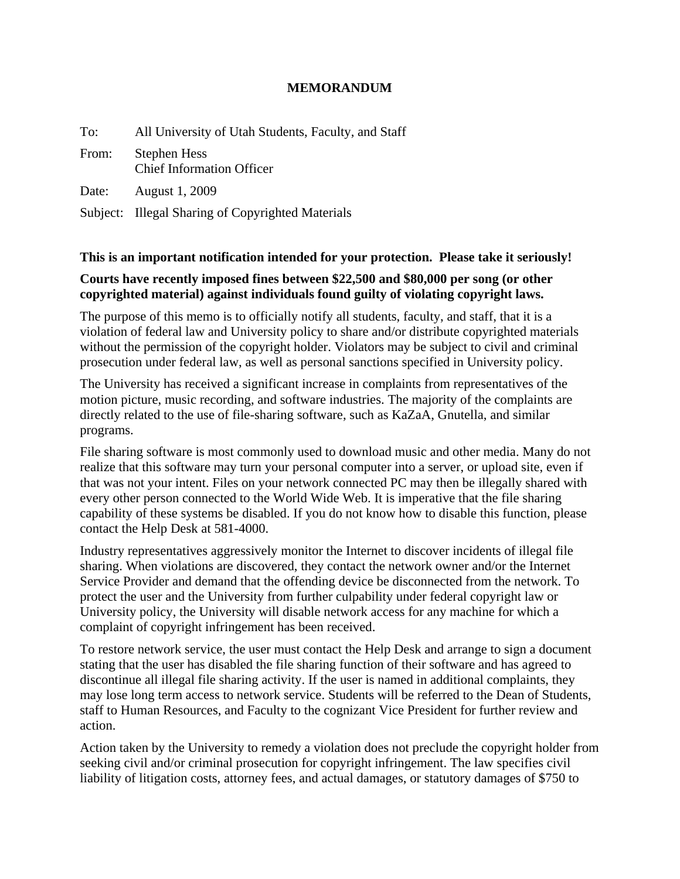## **MEMORANDUM**

| To:   | All University of Utah Students, Faculty, and Staff     |
|-------|---------------------------------------------------------|
| From: | <b>Stephen Hess</b><br><b>Chief Information Officer</b> |
| Date: | <b>August 1, 2009</b>                                   |
|       | Subject: Illegal Sharing of Copyrighted Materials       |

## **This is an important notification intended for your protection. Please take it seriously!**

## **Courts have recently imposed fines between \$22,500 and \$80,000 per song (or other copyrighted material) against individuals found guilty of violating copyright laws.**

The purpose of this memo is to officially notify all students, faculty, and staff, that it is a violation of federal law and University policy to share and/or distribute copyrighted materials without the permission of the copyright holder. Violators may be subject to civil and criminal prosecution under federal law, as well as personal sanctions specified in University policy.

The University has received a significant increase in complaints from representatives of the motion picture, music recording, and software industries. The majority of the complaints are directly related to the use of file-sharing software, such as KaZaA, Gnutella, and similar programs.

File sharing software is most commonly used to download music and other media. Many do not realize that this software may turn your personal computer into a server, or upload site, even if that was not your intent. Files on your network connected PC may then be illegally shared with every other person connected to the World Wide Web. It is imperative that the file sharing capability of these systems be disabled. If you do not know how to disable this function, please contact the Help Desk at 581-4000.

Industry representatives aggressively monitor the Internet to discover incidents of illegal file sharing. When violations are discovered, they contact the network owner and/or the Internet Service Provider and demand that the offending device be disconnected from the network. To protect the user and the University from further culpability under federal copyright law or University policy, the University will disable network access for any machine for which a complaint of copyright infringement has been received.

To restore network service, the user must contact the Help Desk and arrange to sign a document stating that the user has disabled the file sharing function of their software and has agreed to discontinue all illegal file sharing activity. If the user is named in additional complaints, they may lose long term access to network service. Students will be referred to the Dean of Students, staff to Human Resources, and Faculty to the cognizant Vice President for further review and action.

Action taken by the University to remedy a violation does not preclude the copyright holder from seeking civil and/or criminal prosecution for copyright infringement. The law specifies civil liability of litigation costs, attorney fees, and actual damages, or statutory damages of \$750 to